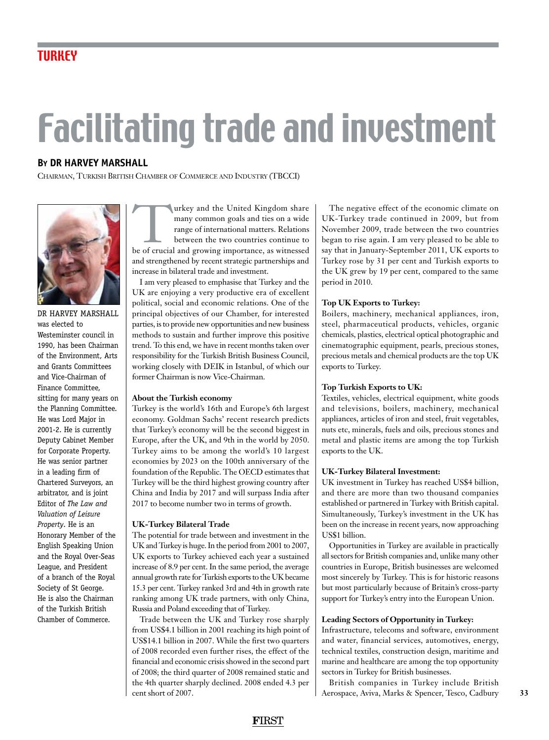# Facilitating trade and investment

#### **By DR HARVEY MARSHALL**

Chairman, Turkish British Chamber of Commerce and Industry (TBCCI)



Dr Harvey MArshall was elected to Westeminster council in 1990, has been Chairman of the Environment, Arts and Grants Committees and Vice-Chairman of Finance Committee, sitting for many years on the Planning Committee. He was Lord Major in 2001-2. He is currently Deputy Cabinet Member for Corporate Property. He was senior partner in a leading firm of Chartered Surveyors, an arbitrator, and is joint Editor of *The Law and Valuation of Leisure Property*. He is an Honorary Member of the English Speaking Union and the Royal Over-Seas League, and President of a branch of the Royal Society of St George. He is also the Chairman of the Turkish British Chamber of Commerce.

Turkey and the United Kingdom share<br>
many common goals and ties on a wide<br>
range of international matters. Relations<br>
between the two countries continue to<br>
be of crucial and growing importance, as witnessed many common goals and ties on a wide range of international matters. Relations between the two countries continue to and strengthened by recent strategic partnerships and increase in bilateral trade and investment.

I am very pleased to emphasise that Turkey and the UK are enjoying a very productive era of excellent political, social and economic relations. One of the principal objectives of our Chamber, for interested parties, is to provide new opportunities and new business methods to sustain and further improve this positive trend. To this end, we have in recent months taken over responsibility for the Turkish British Business Council, working closely with DEIK in Istanbul, of which our former Chairman is now Vice-Chairman.

#### **About the Turkish economy**

Turkey is the world's 16th and Europe's 6th largest economy. Goldman Sachs' recent research predicts that Turkey's economy will be the second biggest in Europe, after the UK, and 9th in the world by 2050. Turkey aims to be among the world's 10 largest economies by 2023 on the 100th anniversary of the foundation of the Republic. The OECD estimates that Turkey will be the third highest growing country after China and India by 2017 and will surpass India after 2017 to become number two in terms of growth.

#### **UK-Turkey Bilateral Trade**

The potential for trade between and investment in the UK and Turkey is huge. In the period from 2001 to 2007, UK exports to Turkey achieved each year a sustained increase of 8.9 per cent. In the same period, the average annual growth rate for Turkish exports to the UK became 15.3 per cent. Turkey ranked 3rd and 4th in growth rate ranking among UK trade partners, with only China, Russia and Poland exceeding that of Turkey.

Trade between the UK and Turkey rose sharply from US\$4.1 billion in 2001 reaching its high point of US\$14.1 billion in 2007. While the first two quarters of 2008 recorded even further rises, the effect of the financial and economic crisis showed in the second part of 2008; the third quarter of 2008 remained static and the 4th quarter sharply declined. 2008 ended 4.3 per cent short of 2007.

The negative effect of the economic climate on UK-Turkey trade continued in 2009, but from November 2009, trade between the two countries began to rise again. I am very pleased to be able to say that in January-September 2011, UK exports to Turkey rose by 31 per cent and Turkish exports to the UK grew by 19 per cent, compared to the same period in 2010.

#### **Top UK Exports to Turkey:**

Boilers, machinery, mechanical appliances, iron, steel, pharmaceutical products, vehicles, organic chemicals, plastics, electrical optical photographic and cinematographic equipment, pearls, precious stones, precious metals and chemical products are the top UK exports to Turkey.

#### **Top Turkish Exports to UK:**

Textiles, vehicles, electrical equipment, white goods and televisions, boilers, machinery, mechanical appliances, articles of iron and steel, fruit vegetables, nuts etc, minerals, fuels and oils, precious stones and metal and plastic items are among the top Turkish exports to the UK.

#### **UK-Turkey Bilateral Investment:**

UK investment in Turkey has reached US\$4 billion, and there are more than two thousand companies established or partnered in Turkey with British capital. Simultaneously, Turkey's investment in the UK has been on the increase in recent years, now approaching US\$1 billion.

Opportunities in Turkey are available in practically all sectors for British companies and, unlike many other countries in Europe, British businesses are welcomed most sincerely by Turkey. This is for historic reasons but most particularly because of Britain's cross-party support for Turkey's entry into the European Union.

#### **Leading Sectors of Opportunity in Turkey:**

Infrastructure, telecoms and software, environment and water, financial services, automotives, energy, technical textiles, construction design, maritime and marine and healthcare are among the top opportunity sectors in Turkey for British businesses.

British companies in Turkey include British Aerospace, Aviva, Marks & Spencer, Tesco, Cadbury